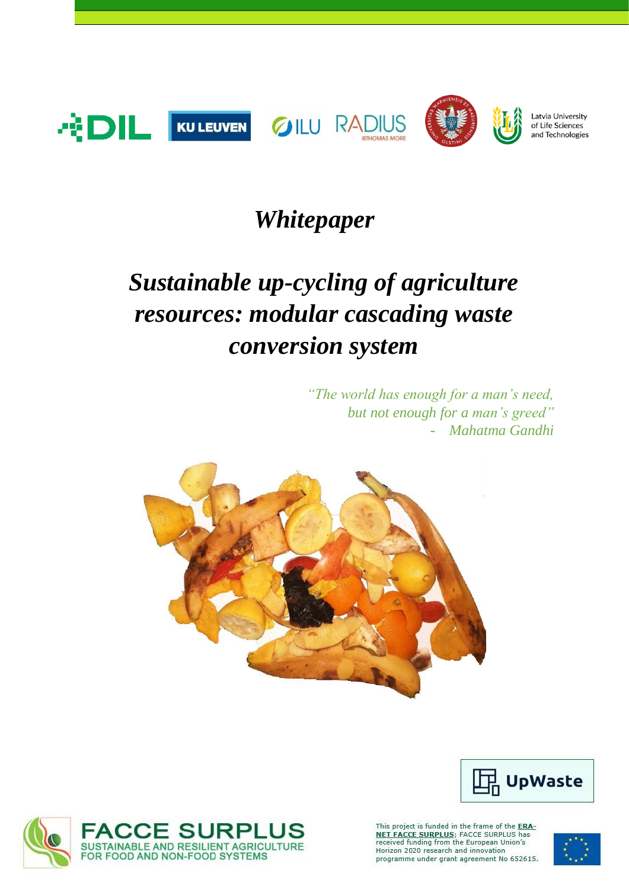

### *Whitepaper*

# *Sustainable up-cycling of agriculture resources: modular cascading waste conversion system*

*"The world has enough for a man's need, but not enough for a man's greed"* - *Mahatma Gandhi*





This project is funded in the frame of the ERA-NET FACCE SURPLUS; FACCE SURPLUS has<br>received funding from the European Union's<br>Horizon 2020 research and innovation programme under grant agreement No 652615.



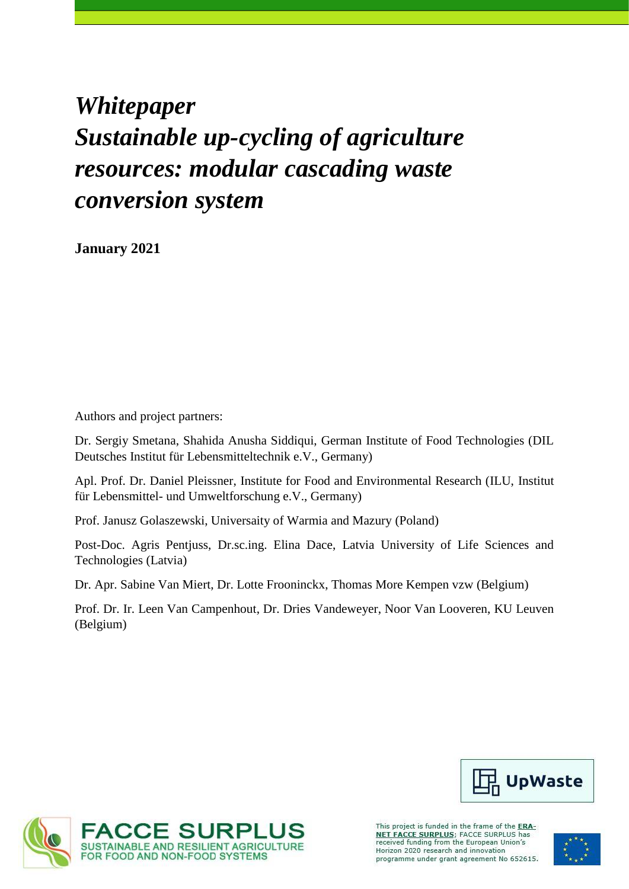## *Whitepaper Sustainable up-cycling of agriculture resources: modular cascading waste conversion system*

**January 2021**

Authors and project partners:

Dr. Sergiy Smetana, Shahida Anusha Siddiqui, German Institute of Food Technologies (DIL Deutsches Institut für Lebensmitteltechnik e.V., Germany)

Apl. Prof. Dr. Daniel Pleissner, Institute for Food and Environmental Research (ILU, Institut für Lebensmittel- und Umweltforschung e.V., Germany)

Prof. Janusz Golaszewski, Universaity of Warmia and Mazury (Poland)

Post-Doc. Agris Pentjuss, Dr.sc.ing. Elina Dace, Latvia University of Life Sciences and Technologies (Latvia)

Dr. Apr. Sabine Van Miert, Dr. Lotte Frooninckx, Thomas More Kempen vzw (Belgium)

Prof. Dr. Ir. Leen Van Campenhout, Dr. Dries Vandeweyer, Noor Van Looveren, KU Leuven (Belgium)





This project is funded in the frame of the ERA-**NET FACCE SURPLUS;** FACCE SURPLUS has<br>received funding from the European Union's Horizon 2020 research and innovation programme under grant agreement No 652615.

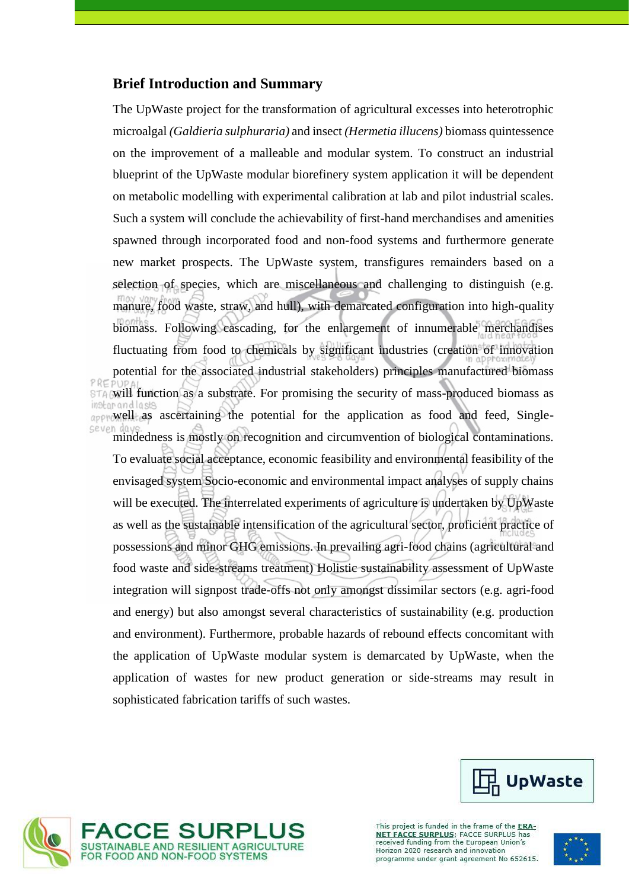#### **Brief Introduction and Summary**

The UpWaste project for the transformation of agricultural excesses into heterotrophic microalgal *(Galdieria sulphuraria)* and insect *(Hermetia illucens)* biomass quintessence on the improvement of a malleable and modular system. To construct an industrial blueprint of the UpWaste modular biorefinery system application it will be dependent on metabolic modelling with experimental calibration at lab and pilot industrial scales. Such a system will conclude the achievability of first-hand merchandises and amenities spawned through incorporated food and non-food systems and furthermore generate new market prospects. The UpWaste system, transfigures remainders based on a selection of species, which are miscellaneous and challenging to distinguish (e.g. manure, food waste, straw, and hull), with demarcated configuration into high-quality biomass. Following cascading, for the enlargement of innumerable merchandises fluctuating from food to chemicals by significant industries (creation of innovation potential for the associated industrial stakeholders) principles manufactured biomass STA will function as a substrate. For promising the security of mass-produced biomass as ington and lasts approvell as ascertaining the potential for the application as food and feed, Singlemindedness is mostly on recognition and circumvention of biological contaminations.

To evaluate social acceptance, economic feasibility and environmental feasibility of the envisaged system Socio-economic and environmental impact analyses of supply chains will be executed. The interrelated experiments of agriculture is undertaken by UpWaste as well as the sustainable intensification of the agricultural sector, proficient practice of possessions and minor GHG emissions. In prevailing agri-food chains (agricultural and food waste and side-streams treatment) Holistic sustainability assessment of UpWaste integration will signpost trade-offs not only amongst dissimilar sectors (e.g. agri-food and energy) but also amongst several characteristics of sustainability (e.g. production and environment). Furthermore, probable hazards of rebound effects concomitant with the application of UpWaste modular system is demarcated by UpWaste, when the application of wastes for new product generation or side-streams may result in sophisticated fabrication tariffs of such wastes.





This project is funded in the frame of the ERA-**NET FACCE SURPLUS**; FACCE SURPLUS has<br>received funding from the European Union's Horizon 2020 research and innovation programme under grant agreement No 652615.

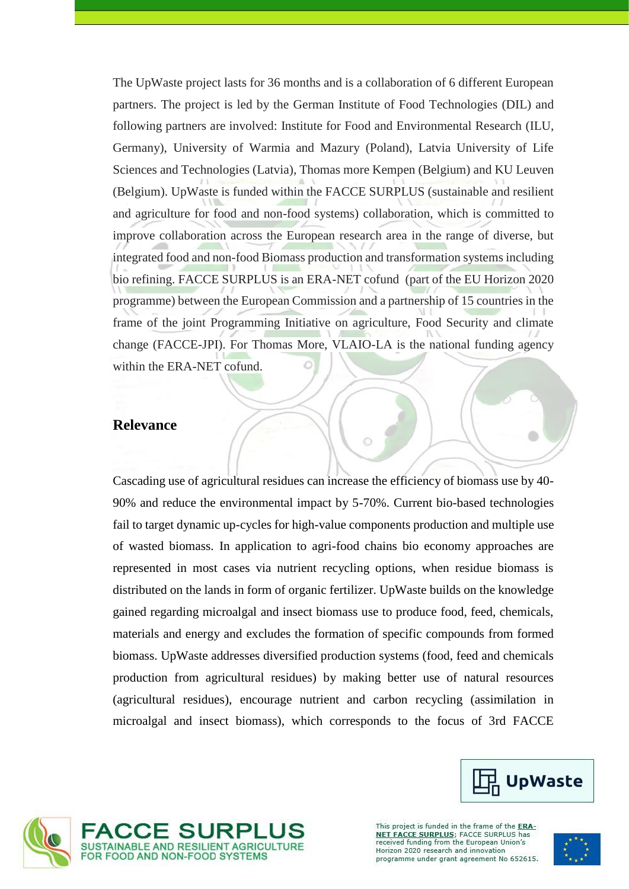The UpWaste project lasts for 36 months and is a collaboration of 6 different European partners. The project is led by the German Institute of Food Technologies (DIL) and following partners are involved: Institute for Food and Environmental Research (ILU, Germany), University of Warmia and Mazury (Poland), Latvia University of Life Sciences and Technologies (Latvia), Thomas more Kempen (Belgium) and KU Leuven (Belgium). UpWaste is funded within the FACCE SURPLUS (sustainable and resilient and agriculture for food and non-food systems) collaboration, which is committed to improve collaboration across the European research area in the range of diverse, but integrated food and non-food Biomass production and transformation systems including bio refining. FACCE SURPLUS is an ERA-NET cofund (part of the EU Horizon 2020 programme) between the European Commission and a partnership of 15 countries in the frame of the joint Programming Initiative on agriculture, Food Security and climate change (FACCE-JPI). For Thomas More, VLAIO-LA is the national funding agency within the ERA-NET cofund.

#### **Relevance**

Cascading use of agricultural residues can increase the efficiency of biomass use by 40- 90% and reduce the environmental impact by 5-70%. Current bio-based technologies fail to target dynamic up-cycles for high-value components production and multiple use of wasted biomass. In application to agri-food chains bio economy approaches are represented in most cases via nutrient recycling options, when residue biomass is distributed on the lands in form of organic fertilizer. UpWaste builds on the knowledge gained regarding microalgal and insect biomass use to produce food, feed, chemicals, materials and energy and excludes the formation of specific compounds from formed biomass. UpWaste addresses diversified production systems (food, feed and chemicals production from agricultural residues) by making better use of natural resources (agricultural residues), encourage nutrient and carbon recycling (assimilation in microalgal and insect biomass), which corresponds to the focus of 3rd FACCE







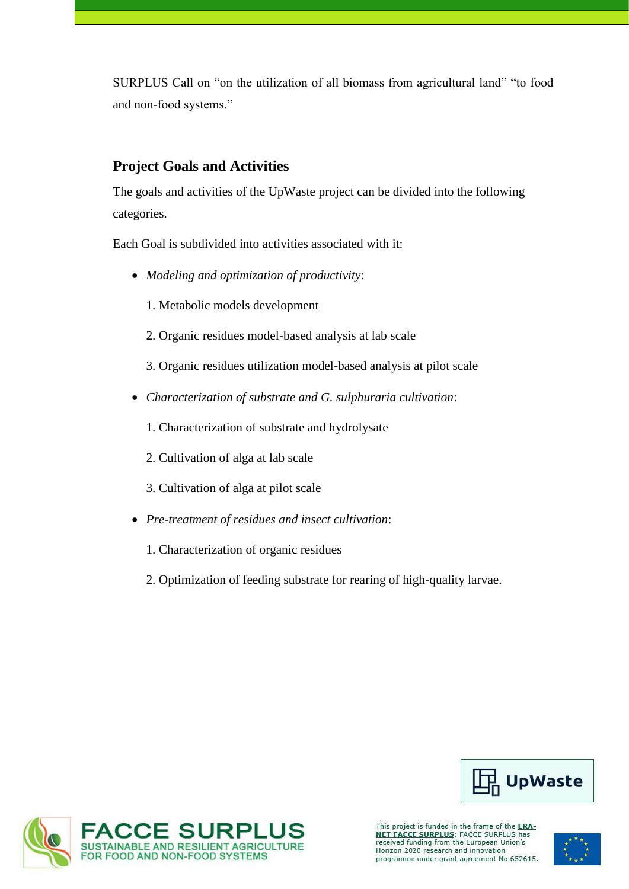SURPLUS Call on "on the utilization of all biomass from agricultural land" "to food and non-food systems."

### **Project Goals and Activities**

The goals and activities of the UpWaste project can be divided into the following categories.

Each Goal is subdivided into activities associated with it:

- *Modeling and optimization of productivity*:
	- 1. Metabolic models development
	- 2. Organic residues model-based analysis at lab scale
	- 3. Organic residues utilization model-based analysis at pilot scale
- *Characterization of substrate and G. sulphuraria cultivation*:
	- 1. Characterization of substrate and hydrolysate
	- 2. Cultivation of alga at lab scale
	- 3. Cultivation of alga at pilot scale
- *Pre-treatment of residues and insect cultivation*:
	- 1. Characterization of organic residues
	- 2. Optimization of feeding substrate for rearing of high-quality larvae.





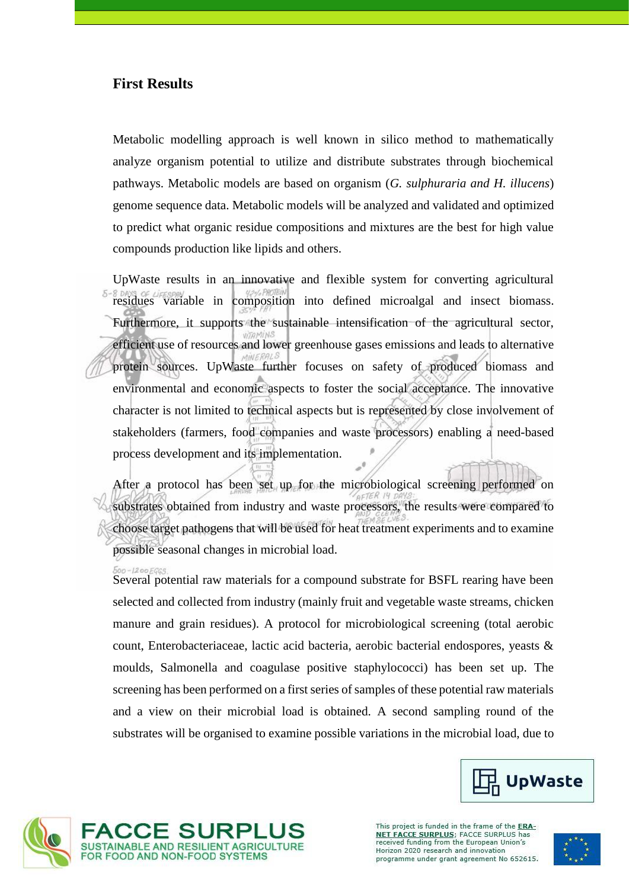#### **First Results**

Metabolic modelling approach is well known in silico method to mathematically analyze organism potential to utilize and distribute substrates through biochemical pathways. Metabolic models are based on organism (*G. sulphuraria and H. illucens*) genome sequence data. Metabolic models will be analyzed and validated and optimized to predict what organic residue compositions and mixtures are the best for high value compounds production like lipids and others.

UpWaste results in an innovative and flexible system for converting agricultural residues variable in composition into defined microalgal and insect biomass. Furthermore, it supports the sustainable intensification of the agricultural sector, efficient use of resources and lower greenhouse gases emissions and leads to alternative protein sources. UpWaste further focuses on safety of produced biomass and environmental and economic aspects to foster the social acceptance. The innovative character is not limited to technical aspects but is represented by close involvement of stakeholders (farmers, food companies and waste processors) enabling a need-based process development and its implementation.

After a protocol has been set up for the microbiological screening performed on substrates obtained from industry and waste processors, the results were compared to choose target pathogens that will be used for heat treatment experiments and to examine possible seasonal changes in microbial load.

 $500 - 1200500$ Several potential raw materials for a compound substrate for BSFL rearing have been selected and collected from industry (mainly fruit and vegetable waste streams, chicken manure and grain residues). A protocol for microbiological screening (total aerobic count, Enterobacteriaceae, lactic acid bacteria, aerobic bacterial endospores, yeasts & moulds, Salmonella and coagulase positive staphylococci) has been set up. The screening has been performed on a first series of samples of these potential raw materials and a view on their microbial load is obtained. A second sampling round of the substrates will be organised to examine possible variations in the microbial load, due to





This project is funded in the frame of the ERA-**NET FACCE SURPLUS**; FACCE SURPLUS has<br>received funding from the European Union's Horizon 2020 research and innovation programme under grant agreement No 652615.

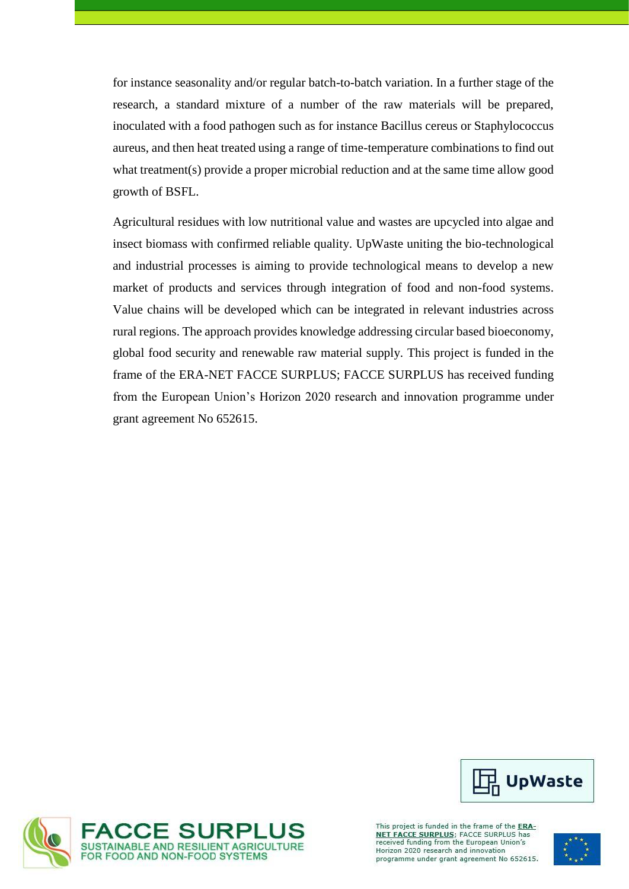for instance seasonality and/or regular batch-to-batch variation. In a further stage of the research, a standard mixture of a number of the raw materials will be prepared, inoculated with a food pathogen such as for instance Bacillus cereus or Staphylococcus aureus, and then heat treated using a range of time-temperature combinations to find out what treatment(s) provide a proper microbial reduction and at the same time allow good growth of BSFL.

Agricultural residues with low nutritional value and wastes are upcycled into algae and insect biomass with confirmed reliable quality. UpWaste uniting the bio-technological and industrial processes is aiming to provide technological means to develop a new market of products and services through integration of food and non-food systems. Value chains will be developed which can be integrated in relevant industries across rural regions. The approach provides knowledge addressing circular based bioeconomy, global food security and renewable raw material supply. This project is funded in the frame of the ERA-NET FACCE SURPLUS; FACCE SURPLUS has received funding from the European Union's Horizon 2020 research and innovation programme under grant agreement No 652615.



This project is funded in the frame of the ERA-**NET FACCE SURPLUS;** FACCE SURPLUS has<br>received funding from the European Union's Horizon 2020 research and innovation programme under grant agreement No 652615.



1 UpWaste